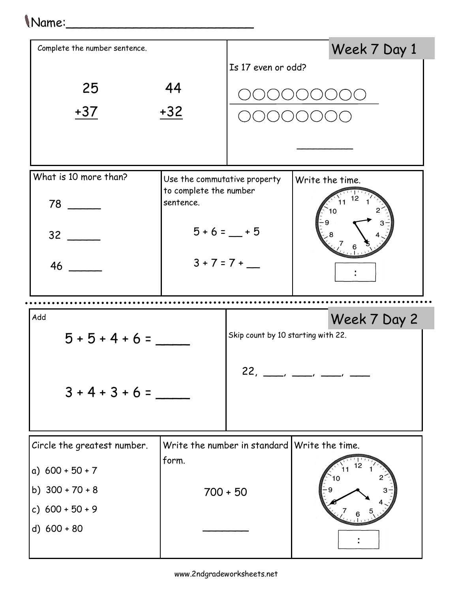## Name:\_\_\_\_\_\_\_\_\_\_\_\_\_\_\_\_\_\_\_\_\_\_\_\_\_

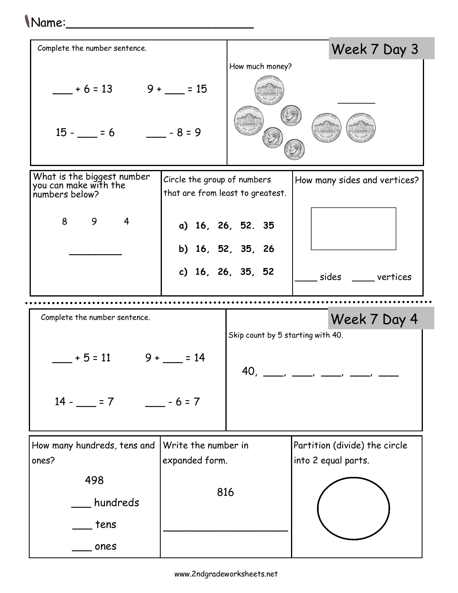## $\bigwedge$ Name: